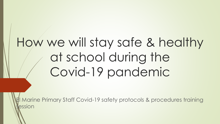# How we will stay safe & healthy at school during the Covid-19 pandemic

**Marine Primary Staff Covid-19 safety protocols & procedures training** ession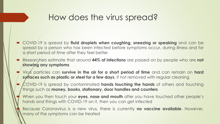#### How does the virus spread?

- COVID-19 is spread by **fluid droplets when coughing, sneezing or speaking** and can be spread by a person who has been infected before symptoms occur, during illness and for a short period of time after they feel better
- Researchers estimate that around **44% of infections** are passed on by people who are **not showing any symptoms**
- Virus particles can **survive in the air for a short period of time** and can remain on **hard surfaces such as plastic or steel for a few days**, if not removed with regular cleaning
- COVID-19 is spread by contaminated **hands touching the hands** of others and touching things such as **money, books, stationary, door handles and counters**
- When you then touch your **eyes, nose and mouth** after you have touched other people's hands and things with COVID-19 on it, then you can get infected
- Because Coronavirus is a new virus, there is currently **no vaccine available**. However, many of the symptoms can be treated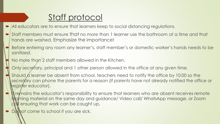## Staff protocol

- All educators are to ensure that learners keep to social distancing regulations.
- Staff members must ensure that no more than 1 learner use the bathroom at a time and that hands are washed. Emphasize the importance!
- Before entering any room any learner's, staff member's or domestic worker's hands needs to be sanitized.
- No more than 2 staff members allowed in the Kitchen.
- Only secretary, principal and 1 other person allowed in the office at any given time.
- Should  $\alpha$  learner be absent from school, teachers need to notify the office by 10:00 so the secretary can phone the parents for a reason (if parents have not already notified the office or register educator).
- It remains the educator's responsibility to ensure that learners who are absent receives remote learning material on the same day and guidance/ Video call/ WhatsApp message, or Zoom call ensuring that work can be caught up.
- $\triangleright$  Do not come to school if you are sick.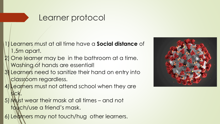#### Learner protocol

1) Learners must at all time have a **Social distance** of 1,5m apart.

- One learner may be in the bathroom at a time. Washing of hands are essential!
- 3) Learners need to sanitize their hand on entry into classroom regardless.
- Learners must not attend school when they are sick.
- 5) Must wear their mask at all times and not touch/use a friend's mask.
- 6) Learners may not touch/hug other learners.

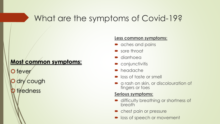# What are the symptoms of Covid-19?

#### **Most common symptoms:**

O fever dry cough tiredness

#### **Less common symptoms:**

- aches and pains
- sore throat
- diarrhoea
- **•** conjunctivitis
- **headache**
- **Dec** loss of taste or smell
- a rash on skin, or discolouration of fingers or toes

#### **Serious symptoms:**

- **difficulty breathing or shortness of** breath
- **•** chest pain or pressure
- loss of speech or movement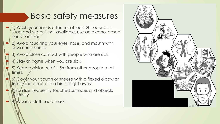# Basic safety measures

- 1) Wash your hands often for at least 20 seconds. If soap and water is not available, use an alcohol based hand sanitizer.
- 2) Avoid touching your eyes, nose, and mouth with unwashed hands.
- 3) Avoid close contact with people who are sick.
- 4) Stay at home when you are sick!
- 5) Keep a distance of 1.5m from other people at all times.
- 6) Cover your cough or sneeze with a flexed elbow or **Itissue/and discard in a bin straight away.**
- Sanitize frequently touched surfaces and objects regularly.
- 8) Wear a cloth face mask.

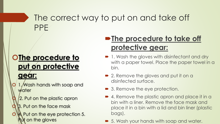# The correct way to put on and take off PPE

# **OThe procedure to**

### **put on protective**

#### **gear:**

- 1. Wash hands with soap and water
- 2. Put on the plastic apron
- 3. Put on the face mask
- 4. Put on the eye protection 5. **If on the gloves**

## **PThe procedure to take off protective gear:**

- 1. Wash the gloves with disinfectant and dry with a paper towel. Place the paper towel in a bin.
- 2. Remove the gloves and put it on a disinfected surface.
- **3. Remove the eye protection.**
- 4. Remove the plastic apron and place it in a bin with a liner. Remove the face mask and place it in a bin with a lid and bin liner (plastic bags).
- 5. Wash your hands with soap and water.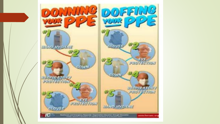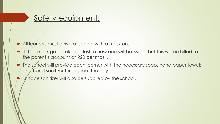#### Safety equipment:

- All learners must arrive at school with a mask on.
- If their mask gets broken or lost, a new one will be issued but this will be billed to the parent's account at R20 per mask.
- The school will provide each learner with the necessary soap, hand paper towels and hand sanitizer throughout the day.
- Surface sanitizer will also be supplied by the school.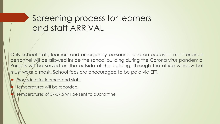# Screening process for learners and staff ARRIVAL

Only school staff, learners and emergency personnel and on occasion maintenance personnel will be allowed inside the school building during the Corona virus pandemic. Parents will be served on the outside of the building, through the office window but must wear a mask. School fees are encouraged to be paid via EFT.

#### Procedure for learners and staff:

Temperatures will be recorded.

Temperatures of 37-37.5 will be sent to quarantine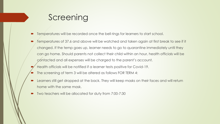### Screening

- Temperatures will be recorded once the bell rings for learners to start school.
- Temperatures of 37.6 and above will be watched and taken again at first break to see if it changed. If the temp goes up, learner needs to go to quarantine immediately until they can go home. Should parents not collect their child within an hour, health officials will be contacted and all expenses will be charged to the parent's account.
- Health officials will be notified if a learner tests positive for Covid-19.
- The screening of term 3 will be altered as follows FOR TERM 4:
- Learners still get dropped at the back. They will keep masks on their faces and will return home with the same mask.
- Two teachers will be allocated for duty from 7:00-7:30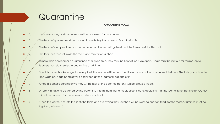# **Quarantine**

#### **QUARANTINE ROOM**

- 1) Learners arriving at Quarantine must be processed for quarantine.
- 2) The learner's parents must be phoned immediately to come and fetch their child.
- 3) The learner's temperature must be recorded on the recording sheet and the form carefully filled out.
- The learner is then let inside the room and must sit on a chair.
- 5) Af more than one learner is quarantined at a given time, they must be kept at least 2m apart. Chairs must be put out for this reason so learners must stay seated in quarantine at all times.
	- Should a parents take longer than required, the learner will be permitted to make use of the quarantine toilet only. The toilet, door handle and wash basin tap handles will be sanitized after a learner made use of it.
- 7) Once a learner's parents arrive they will be met at the door. No parents will be allowed inside.
- 8) A form will have to be signed by the parents to inform them that a medical certificate, declaring that the learner is not positive for COVID-19, will be required for the learner to return to school.
- 9) Once the learner has left, the seat, the table and everything they touched will be washed and sanitized (for this reason, furniture must be kept to a minimum)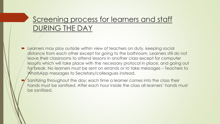#### Screening process for learners and staff DURING THE DAY

- Learners may play outside within view of teachers on duty, keeping social distance from each other except for going to the bathroom. Learners still do not leave their classrooms to attend lessons in another class except for computer lessons which will take place with the necessary protocol in place, and going out for break. No learners must be sent on errands or to take messages - Teachers to WhatsApp messages to Secretary/colleagues instead.
- Sanitizing throughout the day: each time a learner comes into the class their hands must be sanitised. After each hour inside the class all learners' hands must be sanitized.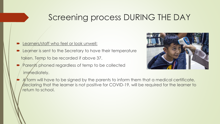# Screening process DURING THE DAY

- Learners/staff who feel or look unwell:
- **EXECUTE:** Learner is sent to the Secretary to have their temperature taken. Temp to be recorded if above 37.
- **Parents phoned regardless of temp to be collected** immediately.



A form will have to be signed by the parents to inform them that a medical certificate, declaring that the learner is not positive for COVID-19, will be required for the learner to return to school.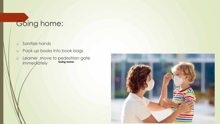## Going home:

- o Sanitize hands
- o Pack up books into book bags
- **Going home:** o Learner move to pedestrian gate immediately

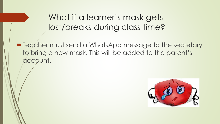# What if a learner's mask gets lost/breaks during class time?

**• Teacher must send a WhatsApp message to the secretary** to bring a new mask. This will be added to the parent's account.

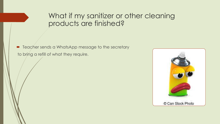#### What if my sanitizer or other cleaning products are finished?

**•** Teacher sends a WhatsApp message to the secretary to bring a refill of what they require.

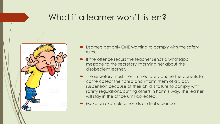### What if a learner won't listen?



- Learners get only ONE warning to comply with the safety rules.
- **If the offence recurs the teacher sends a whatsapp** message to the secretary informing her about the disobedient learner.
- The secretary must then immediately phone the parents to come collect their child and inform them of a 3 day suspension because of their child's failure to comply with safety regulations/putting others in harm's way. The learner will stay in the office until collected.
- Make an example of results of disobediance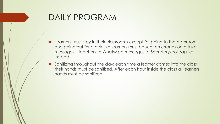#### DAILY PROGRAM

- **EXTERNITHET EXAGGE IS CONTEX IN THE EXAGGE IS CONTEX LEATER** FOR Learners must stay in their classrooms except for going to the bathroom and going out for break. No learners must be sent on errands or to take messages – teachers to WhatsApp messages to Secretary/colleagues instead.
- Sanitizing throughout the day: each time a learner comes into the class their hands must be sanitised. After each hour inside the class all learners' hands must be sanitized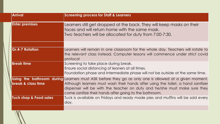| <b>Arrival</b>                | <b>Screening process for Staff &amp; Learners</b>                                                                                                                                                                                                                                                                               |
|-------------------------------|---------------------------------------------------------------------------------------------------------------------------------------------------------------------------------------------------------------------------------------------------------------------------------------------------------------------------------|
| <b>Enter premises</b>         | Learners still get dropped at the back. They will keep masks on their<br>faces and will return home with the same mask.<br>Two teachers will be allocated for duty from 7:00-7:30.                                                                                                                                              |
| <b>Gr.4-7 Rotation</b>        | Learners will remain in one classroom for the whole day. Teachers will rotate to<br>the relevant class instead. Computer lessons will commence under strict covid                                                                                                                                                               |
|                               | protocol                                                                                                                                                                                                                                                                                                                        |
| <b>Break time</b>             | Screening to take place during break.<br>Ensure social distancing of leaners at all times.<br>Foundation phase and Intermediate phase will not be outside at the same time.                                                                                                                                                     |
| <b>break &amp; class time</b> | Using the bathroom during Learners must ASK before they go as only one is allowed at a given moment.<br>Although learners must wash their hands after using the toilet, a hand sanitizer<br>dispenser will be with the teacher on duty and he/she must make sure they<br>come sanitize their hands after going to the bathroom. |
| Tuck shop & Food sales        | Tuck is available on Fridays and ready made pies and muffins will be sold every<br>day.                                                                                                                                                                                                                                         |
|                               |                                                                                                                                                                                                                                                                                                                                 |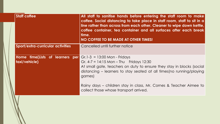| <b>Staff coffee</b>                                                                    | All staff to sanitise hands before entering the staff room to make<br>coffee. Social distancing to take place in staff room, staff to sit in a<br>line rather than across from each other. Cleaner to wipe down kettle,<br>coffee container, tea container and all surfaces after each break<br>time.<br>NO COFFEE TO BE MADE AT OTHER TIMES! |
|----------------------------------------------------------------------------------------|-----------------------------------------------------------------------------------------------------------------------------------------------------------------------------------------------------------------------------------------------------------------------------------------------------------------------------------------------|
| Sport/extra-curricular activities                                                      | Cancelled until further notice                                                                                                                                                                                                                                                                                                                |
| <b>Home fime(Lists of learners per Gr.1-3 = 13:00 Mon - Fridays</b><br>  taxi/vehicle) | Gr. $4-7 = 14:15$ Mon – Thu Fridays 12:30<br>At small gate, teachers on duty to ensure they stay in blocks (social<br>distancing – learners to stay seated at all times (no running/playing<br>games)                                                                                                                                         |
|                                                                                        | Rainy days – children stay in class, Mr. Cornes & Teacher Aimee to<br>collect those whose transport arrived.                                                                                                                                                                                                                                  |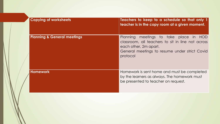| <b>Copying of worksheets</b>           | Teachers to keep to a schedule so that only 1<br>teacher is in the copy room at a given moment.                                                                                                |
|----------------------------------------|------------------------------------------------------------------------------------------------------------------------------------------------------------------------------------------------|
| <b>Planning &amp; General meetings</b> | meetings to take place in<br><b>Planning</b><br>HOD<br>classroom, all teachers to sit in line not across<br>each other, 2m apart.<br>General meetings to resume under strict Covid<br>protocol |
| <b>Homework</b>                        | Homework is sent home and must be completed<br>by the learners as always. The homework must<br>be presented to teacher on request.                                                             |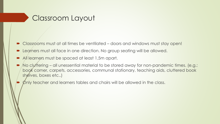#### Classroom Layout

- Classrooms must at all times be ventilated doors and windows must stay open!
- Learners must all face in one direction. No group seating will be allowed.
- All learners must be spaced at least 1,5m apart.
- No cluttering all unessential material to be stored away for non-pandemic times. (e.g.: book corner, carpets, accessories, communal stationary, teaching aids, cluttered book shelves, boxes etc..)
- Only teacher and learners tables and chairs will be allowed in the class.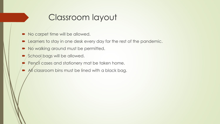### Classroom layout

- No carpet time will be allowed.
- **Example 20 Example 20 Ferry one of the rest of the pandemic.**
- No walking around must be permitted.
- School bags will be allowed.
- Pencil cases and stationery mat be taken home.
- All classroom bins must be lined with a black bag.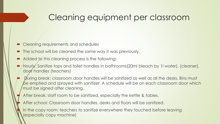# Cleaning equipment per classroom

- Cleaning requirements and schedules
- The school will be cleaned the same way it was previously.
- Added to this cleaning process is the following:
- Hourly: Sanitize taps and toilet handles in bathrooms(20ml bleach by 1l water). (cleaner), door handles (teachers)
- During break: classroom door handles will be sanitized as well as all the desks. Bins must be emptied and sprayed with sanitizer. A schedule will be on each classroom door which must be signed after cleaning.
- After break: staff room to be sanitized, especially the kettle & tables.
- After school: Classroom door handles, desks and floors will be sanitized.
- In the copy room: teachers to sanitize everywhere they touched before leaving (especially copy machine)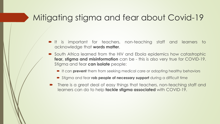## Mitigating stigma and fear about Covid-19

- It is important for teachers, non-teaching staff and learners to acknowledge that **words matter**.
- South Africa learned from the HIV and Ebola epidemics how catastrophic **fear, stigma and misinformation** can be - this is also very true for COVID-19. Stigma and fear **can isolate** people:
	- It can **prevent** them from seeking medical care or adopting healthy behaviors
	- Stigma and fear **rob people of necessary support** during a difficult time
- There is a great deal of easy things that teachers, non-teaching staff and learners can do to help **tackle stigma associated** with COVID-19.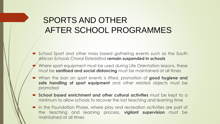# SPORTS AND OTHER AFTER SCHOOL PROGRAMMES

- School Sport and other mass based gathering events such as the South African Schools Choral Eisteddfod **remain suspended in schools**
- Where sport equipment must be used during Life Orientation lessons, these must be **sanitised and social distancing** must be maintained at all times
- When the ban on sport events is lifted, promotion of **good hygiene and safe handling of sport equipment** and other related objects must be promoted
- **School based enrichment and other cultural activities** must be kept to a minimum to allow schools to recover the lost teaching and learning time
- In the Foundation Phase, where play and recreation activities are part of the teaching and learning process, **vigilant supervision** must be maintained at all times